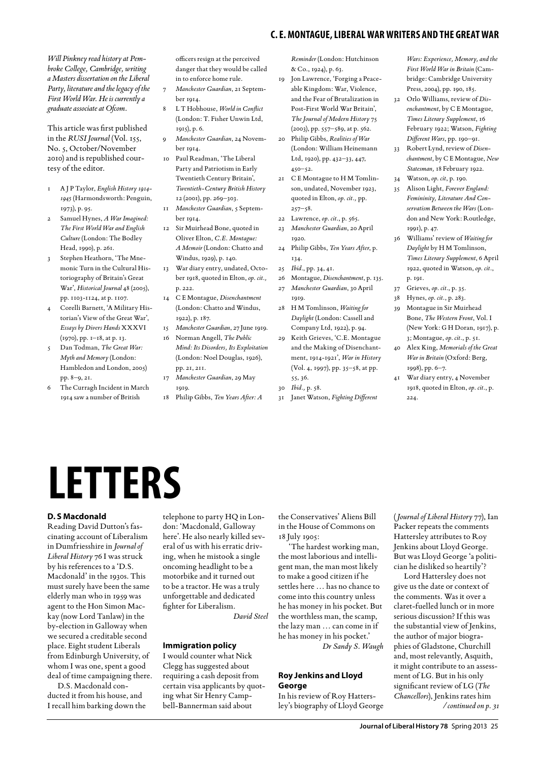## **c. e. montague, liberal war writers and the great war**

*Will Pinkney read history at Pembroke College, Cambridge, writing a Masters dissertation on the Liberal Party, literature and the legacy of the First World War. He is currently a graduate associate at Ofcom.*

This article was first published in the *RUSI Journal* (Vol. 155, No. 5, October/November 2010) and is republished courtesy of the editor.

- 1 A J P Taylor, *English History 1914- 1945* (Harmondsworth: Penguin, 1973), p. 95.
- Samuel Hynes, *A War Imagined: The First World War and English Culture* (London: The Bodley Head, 1990), p. 261.
- 3 Stephen Heathorn, 'The Mnemonic Turn in the Cultural Historiography of Britain's Great War', *Historical Journal* 48 (2005), pp. 1103-1124, at p. 1107.
- 4 Corelli Barnett, 'A Military Historian's View of the Great War', *Essays by Divers Hands* XXXVI (1970), pp. 1–18, at p. 13.
- 5 Dan Todman, *The Great War: Myth and Memory* (London: Hambledon and London, 2005) pp. 8–9, 21.
- 6 The Curragh Incident in March 1914 saw a number of British

officers resign at the perceived danger that they would be called in to enforce home rule.

- 7 *Manchester Guardian*, 21 September 1014.
- 8 L T Hobhouse, *World in Conflict* (London: T. Fisher Unwin Ltd, 1915), p. 6.
- 9 *Manchester Guardian*, 24 November 1914.
- 10 Paul Readman, 'The Liberal Party and Patriotism in Early Twentieth Century Britain', *Twentieth-Century British History* 12 (2001), pp. 269–303.
- 11 *Manchester Guardian*, 5 September 1014.
- 12 Sir Muirhead Bone, quoted in Oliver Elton, *C.E. Montague: A Memoir* (London: Chatto and Windus, 1929), p. 140.
- 13 War diary entry, undated, October 1918, quoted in Elton, *op. cit.,* p. 222.
- 14 C E Montague, *Disenchantment* (London: Chatto and Windus, 1922), p. 187.
- 15 *Manchester Guardian*, 27 June 1919. 16 Norman Angell, *The Public*
- *Mind: Its Disorders, Its Exploitation* (London: Noel Douglas, 1926), pp. 21, 211.
- 17 *Manchester Guardian*, 29 May 1919.
- 18 Philip Gibbs, *Ten Years After: A*

*Reminder* (London: Hutchinson & Co., 1924), p. 63.

- 19 Jon Lawrence, 'Forging a Peaceable Kingdom: War, Violence, and the Fear of Brutalization in Post-First World War Britain', *The Journal of Modern History* 75 (2003), pp. 557–589, at p. 562.
- 20 Philip Gibbs, *Realities of War* (London: William Heinemann Ltd, 1920), pp. 432–33, 447, 450–52.
- 21 C E Montague to H M Tomlinson, undated, November 1923, quoted in Elton, *op. cit.,* pp.  $257 - 58$ .
- 22 Lawrence, *op. cit*., p. 565.
- 23 *Manchester Guardian*, 20 April 1920.
- 24 Philip Gibbs, *Ten Years After*, p. 134.
- 25 *Ibid*., pp. 34, 41.
- 26 Montague, *Disenchantment*, p. 135.
- 27 *Manchester Guardian*, 30 April 1010
- 28 H M Tomlinson, *Waiting for Daylight* (London: Cassell and Company Ltd, 1922), p. 94.
- 29 Keith Grieves, 'C.E. Montague and the Making of Disenchantment, 1914-1921', *War in History* (Vol. 4, 1997), pp. 35–58, at pp. 55, 36.
- 30 *Ibid.,* p. 58.
- 31 Janet Watson, *Fighting Different*

*Wars: Experience, Memory, and the First World War in Britain* (Cambridge: Cambridge University Press, 2004), pp. 190, 185.

- 32 Orlo Williams, review of *Disenchantment*, by C E Montague, *Times Literary Supplement*, 16 February 1922; Watson, *Fighting Different Wars*, pp. 190–91.
- 33 Robert Lynd, review of *Disenchantment*, by C E Montague, *New Statesman,* 18 February 1922.
- 34 Watson, *op. cit*, p. 190.
- 35 Alison Light, *Forever England: Femininity, Literature And Conservatism Between the Wars* (London and New York: Routledge, 1991), p. 47.
- 36 Williams' review of *Waiting for Daylight* by H M Tomlinson, *Times Literary Supplement*, 6 April 1922, quoted in Watson, *op. cit.*, p. 191.
- 37 Grieves, *op. cit.*, p. 35.
- 38 Hynes, *op. cit.*, p. 283.
- 39 Montague in Sir Muirhead Bone, *The Western Front*, Vol. I (New York: G H Doran, 1917), p. 3; Montague, *op. cit.*, p. 51.
- 40 Alex King, *Memorials of the Great War in Britain* (Oxford: Berg, 1998), pp. 6–7.
- 41 War diary entry, 4 November 1918, quoted in Elton, *op. cit.*, p. 224.

# **Letters**

#### **D. S Macdonald**

Reading David Dutton's fascinating account of Liberalism in Dumfriesshire in *Journal of Liberal History* 76 I was struck by his references to a 'D.S. Macdonald' in the 1930s. This must surely have been the same elderly man who in 1959 was agent to the Hon Simon Mackay (now Lord Tanlaw) in the by-election in Galloway when we secured a creditable second place. Eight student Liberals from Edinburgh University, of whom I was one, spent a good deal of time campaigning there.

D.S. Macdonald conducted it from his house, and I recall him barking down the telephone to party HQ in London: 'Macdonald, Galloway here'. He also nearly killed several of us with his erratic driving, when he mistook a single oncoming headlight to be a motorbike and it turned out to be a tractor. He was a truly unforgettable and dedicated fighter for Liberalism.

*David Steel*

#### **Immigration policy**

I would counter what Nick Clegg has suggested about requiring a cash deposit from certain visa applicants by quoting what Sir Henry Campbell-Bannerman said about

the Conservatives' Aliens Bill in the House of Commons on 18 July 1905:

'The hardest working man, the most laborious and intelligent man, the man most likely to make a good citizen if he settles here … has no chance to come into this country unless he has money in his pocket. But the worthless man, the scamp, the lazy man … can come in if he has money in his pocket.' *Dr Sandy S. Waugh*

### **Roy Jenkins and Lloyd George**

In his review of Roy Hattersley's biography of Lloyd George

(*Journal of Liberal History* 77), Ian Packer repeats the comments Hattersley attributes to Roy Jenkins about Lloyd George. But was Lloyd George 'a politician he disliked so heartily'?

Lord Hattersley does not give us the date or context of the comments. Was it over a claret-fuelled lunch or in more serious discussion? If this was the substantial view of Jenkins, the author of major biographies of Gladstone, Churchill and, most relevantly, Asquith, it might contribute to an assessment of LG. But in his only significant review of LG (*The Chancellors*), Jenkins rates him */ continued on p. 31*